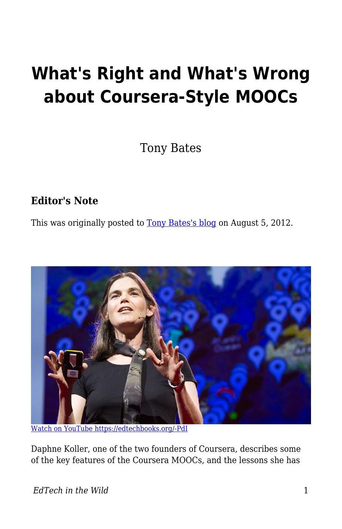# **What's Right and What's Wrong about Coursera-Style MOOCs**

Tony Bates

#### **Editor's Note**

This was originally posted to [Tony Bates's blog](https://www.tonybates.ca/2012/08/05/whats-right-and-whats-wrong-about-coursera-style-moocs/) on August 5, 2012.



[Watch on YouTube https://edtechbooks.org/-PdI](https://www.youtube.com/embed/U6FvJ6jMGHU?autoplay=1&rel=0&showinfo=0&modestbranding=1)

Daphne Koller, one of the two founders of Coursera, describes some of the key features of the Coursera MOOCs, and the lessons she has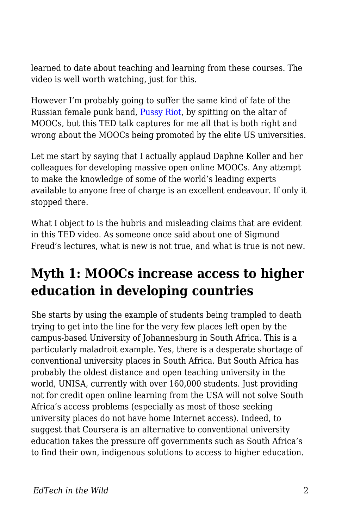learned to date about teaching and learning from these courses. The video is well worth watching, just for this.

However I'm probably going to suffer the same kind of fate of the Russian female punk band, [Pussy Riot](http://content.usatoday.com/communities/ondeadline/post/2012/07/russian-punk-band-pussy-riot-plead-not-guilty/1#.UB7_dmmXQQA), by spitting on the altar of MOOCs, but this TED talk captures for me all that is both right and wrong about the MOOCs being promoted by the elite US universities.

Let me start by saying that I actually applaud Daphne Koller and her colleagues for developing massive open online MOOCs. Any attempt to make the knowledge of some of the world's leading experts available to anyone free of charge is an excellent endeavour. If only it stopped there.

What I object to is the hubris and misleading claims that are evident in this TED video. As someone once said about one of Sigmund Freud's lectures, what is new is not true, and what is true is not new.

### **Myth 1: MOOCs increase access to higher education in developing countries**

She starts by using the example of students being trampled to death trying to get into the line for the very few places left open by the campus-based University of Johannesburg in South Africa. This is a particularly maladroit example. Yes, there is a desperate shortage of conventional university places in South Africa. But South Africa has probably the oldest distance and open teaching university in the world, UNISA, currently with over 160,000 students. Just providing not for credit open online learning from the USA will not solve South Africa's access problems (especially as most of those seeking university places do not have home Internet access). Indeed, to suggest that Coursera is an alternative to conventional university education takes the pressure off governments such as South Africa's to find their own, indigenous solutions to access to higher education.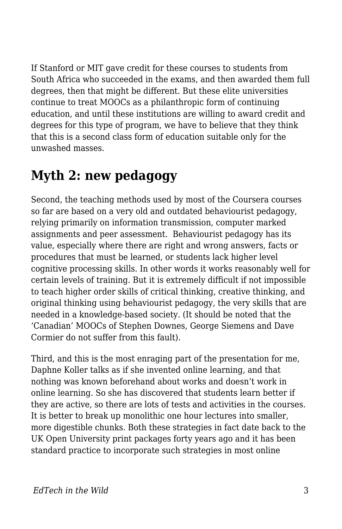If Stanford or MIT gave credit for these courses to students from South Africa who succeeded in the exams, and then awarded them full degrees, then that might be different. But these elite universities continue to treat MOOCs as a philanthropic form of continuing education, and until these institutions are willing to award credit and degrees for this type of program, we have to believe that they think that this is a second class form of education suitable only for the unwashed masses.

#### **Myth 2: new pedagogy**

Second, the teaching methods used by most of the Coursera courses so far are based on a very old and outdated behaviourist pedagogy, relying primarily on information transmission, computer marked assignments and peer assessment. Behaviourist pedagogy has its value, especially where there are right and wrong answers, facts or procedures that must be learned, or students lack higher level cognitive processing skills. In other words it works reasonably well for certain levels of training. But it is extremely difficult if not impossible to teach higher order skills of critical thinking, creative thinking, and original thinking using behaviourist pedagogy, the very skills that are needed in a knowledge-based society. (It should be noted that the 'Canadian' MOOCs of Stephen Downes, George Siemens and Dave Cormier do not suffer from this fault).

Third, and this is the most enraging part of the presentation for me, Daphne Koller talks as if she invented online learning, and that nothing was known beforehand about works and doesn't work in online learning. So she has discovered that students learn better if they are active, so there are lots of tests and activities in the courses. It is better to break up monolithic one hour lectures into smaller, more digestible chunks. Both these strategies in fact date back to the UK Open University print packages forty years ago and it has been standard practice to incorporate such strategies in most online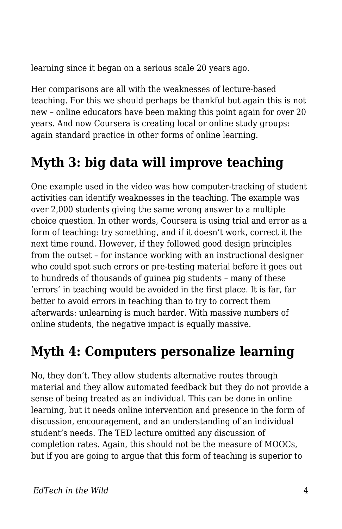learning since it began on a serious scale 20 years ago.

Her comparisons are all with the weaknesses of lecture-based teaching. For this we should perhaps be thankful but again this is not new – online educators have been making this point again for over 20 years. And now Coursera is creating local or online study groups: again standard practice in other forms of online learning.

## **Myth 3: big data will improve teaching**

One example used in the video was how computer-tracking of student activities can identify weaknesses in the teaching. The example was over 2,000 students giving the same wrong answer to a multiple choice question. In other words, Coursera is using trial and error as a form of teaching: try something, and if it doesn't work, correct it the next time round. However, if they followed good design principles from the outset – for instance working with an instructional designer who could spot such errors or pre-testing material before it goes out to hundreds of thousands of guinea pig students – many of these 'errors' in teaching would be avoided in the first place. It is far, far better to avoid errors in teaching than to try to correct them afterwards: unlearning is much harder. With massive numbers of online students, the negative impact is equally massive.

### **Myth 4: Computers personalize learning**

No, they don't. They allow students alternative routes through material and they allow automated feedback but they do not provide a sense of being treated as an individual. This can be done in online learning, but it needs online intervention and presence in the form of discussion, encouragement, and an understanding of an individual student's needs. The TED lecture omitted any discussion of completion rates. Again, this should not be the measure of MOOCs, but if you are going to argue that this form of teaching is superior to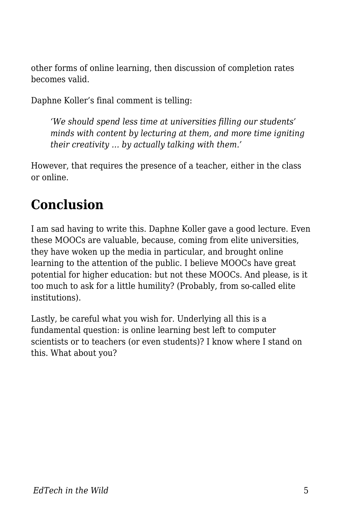other forms of online learning, then discussion of completion rates becomes valid.

Daphne Koller's final comment is telling:

*'We should spend less time at universities filling our students' minds with content by lecturing at them, and more time igniting their creativity … by actually talking with them.'* 

However, that requires the presence of a teacher, either in the class or online.

#### **Conclusion**

I am sad having to write this. Daphne Koller gave a good lecture. Even these MOOCs are valuable, because, coming from elite universities, they have woken up the media in particular, and brought online learning to the attention of the public. I believe MOOCs have great potential for higher education: but not these MOOCs. And please, is it too much to ask for a little humility? (Probably, from so-called elite institutions).

Lastly, be careful what you wish for. Underlying all this is a fundamental question: is online learning best left to computer scientists or to teachers (or even students)? I know where I stand on this. What about you?